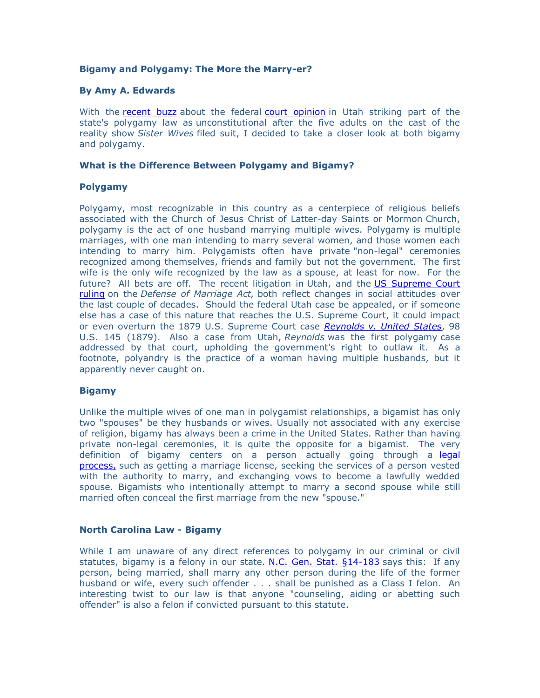# **Bigamy and Polygamy: The More the Marry-er?**

### **By Amy A. Edwards**

With the [recent buzz](http://www.csmonitor.com/The-Culture/Latest-News-Wires/2013/1215/Sister-Wives-family-wins-Utah-polygamy-lawsuit) about the federal [court opinion](https://ecf.utd.uscourts.gov/cgi-bin/show_public_doc?211cv0652-78) in Utah striking part of the state's polygamy law as unconstitutional after the five adults on the cast of the reality show *Sister Wives* filed suit, I decided to take a closer look at both bigamy and polygamy.

### **What is the Difference Between Polygamy and Bigamy?**

# **Polygamy**

Polygamy, most recognizable in this country as a centerpiece of religious beliefs associated with the Church of Jesus Christ of Latter-day Saints or Mormon Church, polygamy is the act of one husband marrying multiple wives. Polygamy is multiple marriages, with one man intending to marry several women, and those women each intending to marry him. Polygamists often have private "non-legal" ceremonies recognized among themselves, friends and family but not the government. The first wife is the only wife recognized by the law as a spouse, at least for now. For the future? All bets are off. The recent litigation in Utah, and the US Supreme Court [ruling](http://www.supremecourt.gov/opinions/12pdf/12-307_6j37.pdf) on the *Defense of Marriage Act,* both reflect changes in social attitudes over the last couple of decades. Should the federal Utah case be appealed, or if someone else has a case of this nature that reaches the U.S. Supreme Court, it could impact or even overturn the 1879 U.S. Supreme Court case *[Reynolds v. United States](http://supreme.justia.com/cases/federal/us/98/145/case.html)*, 98 U.S. 145 (1879). Also a case from Utah, *Reynolds* was the first polygamy case addressed by that court, upholding the government's right to outlaw it. As a footnote, polyandry is the practice of a woman having multiple husbands, but it apparently never caught on.

#### **Bigamy**

Unlike the multiple wives of one man in polygamist relationships, a bigamist has only two "spouses" be they husbands or wives. Usually not associated with any exercise of religion, bigamy has always been a crime in the United States. Rather than having private non-legal ceremonies, it is quite the opposite for a bigamist. The very definition of bigamy centers on a person actually going through a [legal](http://www.greenvillelaw.us/index.php?option=com_content&view=article&id=171)  [process,](http://www.greenvillelaw.us/index.php?option=com_content&view=article&id=171) such as getting a marriage license, seeking the services of a person vested with the authority to marry, and exchanging vows to become a lawfully wedded spouse. Bigamists who intentionally attempt to marry a second spouse while still married often conceal the first marriage from the new "spouse."

#### **North Carolina Law - Bigamy**

While I am unaware of any direct references to polygamy in our criminal or civil statutes, bigamy is a felony in our state. N.C. Gen. Stat.  $\S$ 14-183 says this: If any person, being married, shall marry any other person during the life of the former husband or wife, every such offender . . . shall be punished as a Class I felon. An interesting twist to our law is that anyone "counseling, aiding or abetting such offender" is also a felon if convicted pursuant to this statute.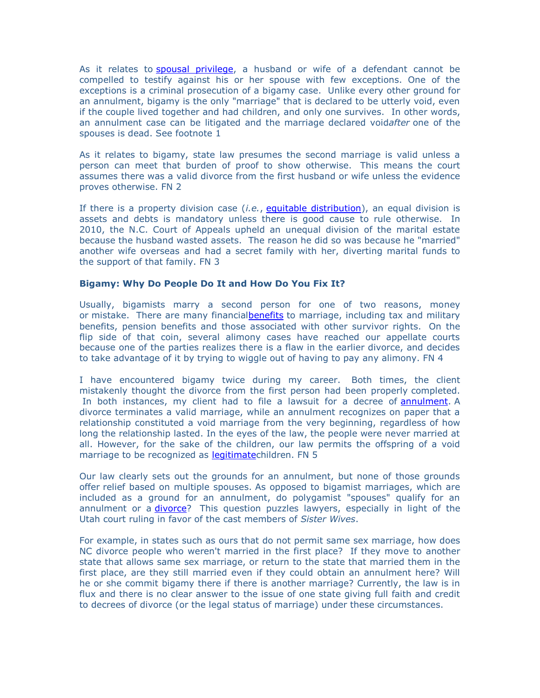As it relates to [spousal privilege,](http://www.ncleg.net/EnactedLegislation/Statutes/HTML/BySection/Chapter_8/GS_8-57.html) a husband or wife of a defendant cannot be compelled to testify against his or her spouse with few exceptions. One of the exceptions is a criminal prosecution of a bigamy case. Unlike every other ground for an annulment, bigamy is the only "marriage" that is declared to be utterly void, even if the couple lived together and had children, and only one survives. In other words, an annulment case can be litigated and the marriage declared void*after* one of the spouses is dead. See footnote 1

As it relates to bigamy, state law presumes the second marriage is valid unless a person can meet that burden of proof to show otherwise. This means the court assumes there was a valid divorce from the first husband or wife unless the evidence proves otherwise. FN 2

If there is a property division case (*i.e.*, [equitable distribution\)](http://www.greenvillelaw.us/index.php?option=com_content&view=article&id=81), an equal division is assets and debts is mandatory unless there is good cause to rule otherwise. In 2010, the N.C. Court of Appeals upheld an unequal division of the marital estate because the husband wasted assets. The reason he did so was because he "married" another wife overseas and had a secret family with her, diverting marital funds to the support of that family. FN 3

# **Bigamy: Why Do People Do It and How Do You Fix It?**

Usually, bigamists marry a second person for one of two reasons, money or mistake. There are many financia[lbenefits](http://www.greenvillelaw.us/index.php?option=com_content&view=article&id=112) to marriage, including tax and military benefits, pension benefits and those associated with other survivor rights. On the flip side of that coin, several alimony cases have reached our appellate courts because one of the parties realizes there is a flaw in the earlier divorce, and decides to take advantage of it by trying to wiggle out of having to pay any alimony. FN 4

I have encountered bigamy twice during my career. Both times, the client mistakenly thought the divorce from the first person had been properly completed. In both instances, my client had to file a lawsuit for a decree of [annulment.](http://www.greenvillelaw.us/index.php?option=com_content&view=article&id=119) A divorce terminates a valid marriage, while an annulment recognizes on paper that a relationship constituted a void marriage from the very beginning, regardless of how long the relationship lasted. In the eyes of the law, the people were never married at all. However, for the sake of the children, our law permits the offspring of a void marriage to be recognized as [legitimatec](http://www.greenvillelaw.us/index.php?option=com_content&view=article&id=129)hildren. FN 5

Our law clearly sets out the grounds for an annulment, but none of those grounds offer relief based on multiple spouses. As opposed to bigamist marriages, which are included as a ground for an annulment, do polygamist "spouses" qualify for an annulment or a *divorce*? This question puzzles lawyers, especially in light of the Utah court ruling in favor of the cast members of *Sister Wives*.

For example, in states such as ours that do not permit same sex marriage, how does NC divorce people who weren't married in the first place? If they move to another state that allows same sex marriage, or return to the state that married them in the first place, are they still married even if they could obtain an annulment here? Will he or she commit bigamy there if there is another marriage? Currently, the law is in flux and there is no clear answer to the issue of one state giving full faith and credit to decrees of divorce (or the legal status of marriage) under these circumstances.